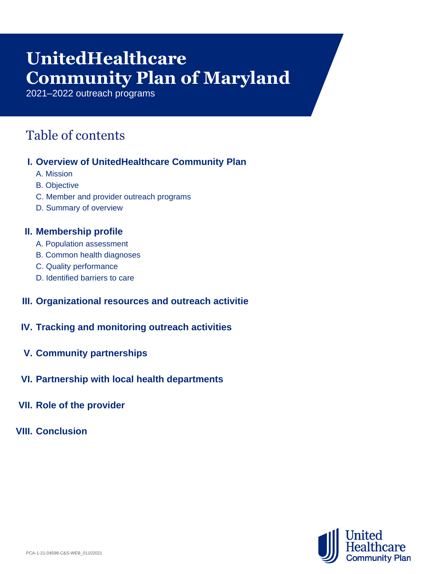# **UnitedHealthcare Community Plan of Maryland**

2021–2022 outreach programs

# Table of contents

- **I. Overview of UnitedHealthcare Community Plan**
	- A. Mission
	- B. Objective
	- C. Member and provider outreach programs
	- D. Summary of overview

# **II. Membership profile**

- A. Population assessment
- B. Common health diagnoses
- C. Quality performance
- D. Identified barriers to care
- **III. Organizational resources and outreach activitie**
- **IV. Tracking and monitoring outreach activities**
- **V. Community partnerships**
- **VI. Partnership with local health departments**
- **VII. Role of the provider**
- **VIII. Conclusion**

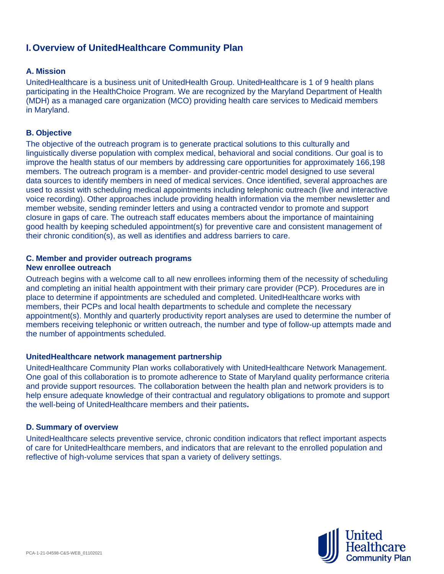# **I.Overview of UnitedHealthcare Community Plan**

# **A. Mission**

UnitedHealthcare is a business unit of UnitedHealth Group. UnitedHealthcare is 1 of 9 health plans participating in the HealthChoice Program. We are recognized by the Maryland Department of Health (MDH) as a managed care organization (MCO) providing health care services to Medicaid members in Maryland.

# **B. Objective**

The objective of the outreach program is to generate practical solutions to this culturally and linguistically diverse population with complex medical, behavioral and social conditions. Our goal is to improve the health status of our members by addressing care opportunities for approximately 166,198 members. The outreach program is a member- and provider-centric model designed to use several data sources to identify members in need of medical services. Once identified, several approaches are used to assist with scheduling medical appointments including telephonic outreach (live and interactive voice recording). Other approaches include providing health information via the member newsletter and member website, sending reminder letters and using a contracted vendor to promote and support closure in gaps of care. The outreach staff educates members about the importance of maintaining good health by keeping scheduled appointment(s) for preventive care and consistent management of their chronic condition(s), as well as identifies and address barriers to care.

# **C. Member and provider outreach programs New enrollee outreach**

Outreach begins with a welcome call to all new enrollees informing them of the necessity of scheduling and completing an initial health appointment with their primary care provider (PCP). Procedures are in place to determine if appointments are scheduled and completed. UnitedHealthcare works with members, their PCPs and local health departments to schedule and complete the necessary appointment(s). Monthly and quarterly productivity report analyses are used to determine the number of members receiving telephonic or written outreach, the number and type of follow-up attempts made and the number of appointments scheduled.

# **UnitedHealthcare network management partnership**

UnitedHealthcare Community Plan works collaboratively with UnitedHealthcare Network Management. One goal of this collaboration is to promote adherence to State of Maryland quality performance criteria and provide support resources. The collaboration between the health plan and network providers is to help ensure adequate knowledge of their contractual and regulatory obligations to promote and support the well-being of UnitedHealthcare members and their patients**.**

# **D. Summary of overview**

UnitedHealthcare selects preventive service, chronic condition indicators that reflect important aspects of care for UnitedHealthcare members, and indicators that are relevant to the enrolled population and reflective of high-volume services that span a variety of delivery settings.

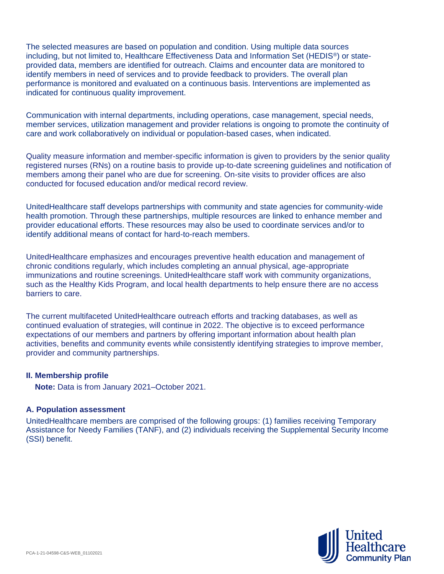The selected measures are based on population and condition. Using multiple data sources including, but not limited to, Healthcare Effectiveness Data and Information Set (HEDIS®) or stateprovided data, members are identified for outreach. Claims and encounter data are monitored to identify members in need of services and to provide feedback to providers. The overall plan performance is monitored and evaluated on a continuous basis. Interventions are implemented as indicated for continuous quality improvement.

Communication with internal departments, including operations, case management, special needs, member services, utilization management and provider relations is ongoing to promote the continuity of care and work collaboratively on individual or population-based cases, when indicated.

Quality measure information and member-specific information is given to providers by the senior quality registered nurses (RNs) on a routine basis to provide up-to-date screening guidelines and notification of members among their panel who are due for screening. On-site visits to provider offices are also conducted for focused education and/or medical record review.

UnitedHealthcare staff develops partnerships with community and state agencies for community-wide health promotion. Through these partnerships, multiple resources are linked to enhance member and provider educational efforts. These resources may also be used to coordinate services and/or to identify additional means of contact for hard-to-reach members.

UnitedHealthcare emphasizes and encourages preventive health education and management of chronic conditions regularly, which includes completing an annual physical, age-appropriate immunizations and routine screenings. UnitedHealthcare staff work with community organizations, such as the Healthy Kids Program, and local health departments to help ensure there are no access barriers to care.

The current multifaceted UnitedHealthcare outreach efforts and tracking databases, as well as continued evaluation of strategies, will continue in 2022. The objective is to exceed performance expectations of our members and partners by offering important information about health plan activities, benefits and community events while consistently identifying strategies to improve member, provider and community partnerships.

# **II. Membership profile**

 **Note:** Data is from January 2021–October 2021.

# **A. Population assessment**

UnitedHealthcare members are comprised of the following groups: (1) families receiving Temporary Assistance for Needy Families (TANF), and (2) individuals receiving the Supplemental Security Income (SSI) benefit.

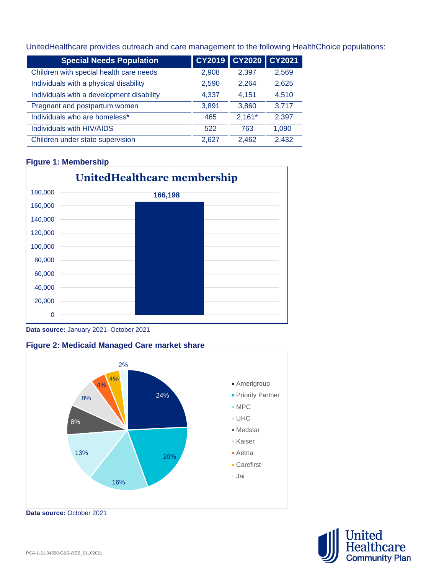UnitedHealthcare provides outreach and care management to the following HealthChoice populations:

| <b>Special Needs Population</b>           | <b>CY2019</b> | <b>CY2020</b> | <b>CY2021</b> |
|-------------------------------------------|---------------|---------------|---------------|
| Children with special health care needs   | 2,908         | 2,397         | 2,569         |
| Individuals with a physical disability    | 2,590         | 2,264         | 2,625         |
| Individuals with a development disability | 4,337         | 4.151         | 4,510         |
| Pregnant and postpartum women             | 3,891         | 3,860         | 3,717         |
| Individuals who are homeless*             | 465           | $2.161*$      | 2,397         |
| Individuals with HIV/AIDS                 | 522           | 763           | 1.090         |
| Children under state supervision          | 2.627         | 2,462         | 2,432         |

# **Figure 1: Membership**



**Data source:** January 2021–October 2021





**United<br>Healthcare<br>Community Plan**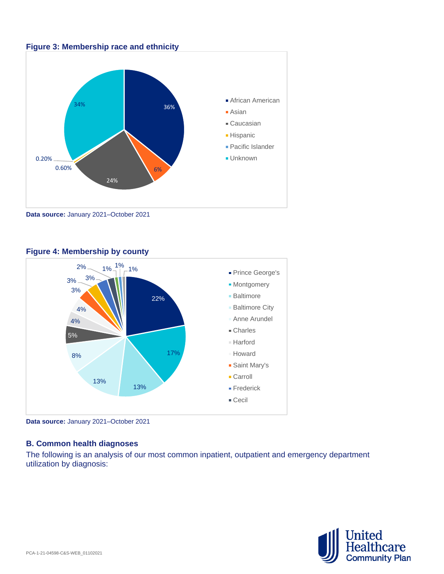# **Figure 3: Membership race and ethnicity**



**Data source:** January 2021–October 2021



# **Figure 4: Membership by county**

**Data source:** January 2021–October 2021

# **B. Common health diagnoses**

The following is an analysis of our most common inpatient, outpatient and emergency department utilization by diagnosis:

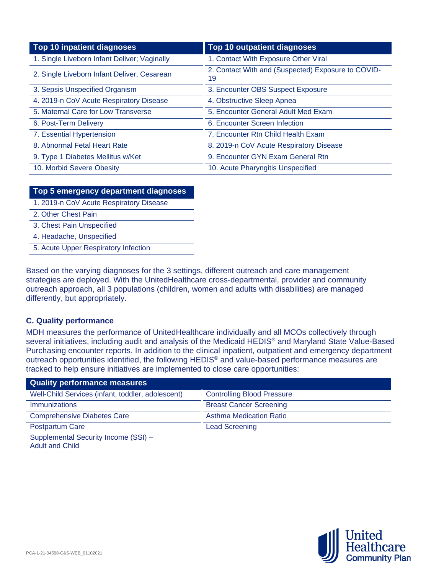| <b>Top 10 inpatient diagnoses</b>            | <b>Top 10 outpatient diagnoses</b>                       |
|----------------------------------------------|----------------------------------------------------------|
| 1. Single Liveborn Infant Deliver; Vaginally | 1. Contact With Exposure Other Viral                     |
| 2. Single Liveborn Infant Deliver, Cesarean  | 2. Contact With and (Suspected) Exposure to COVID-<br>19 |
| 3. Sepsis Unspecified Organism               | 3. Encounter OBS Suspect Exposure                        |
| 4. 2019-n CoV Acute Respiratory Disease      | 4. Obstructive Sleep Apnea                               |
| 5. Maternal Care for Low Transverse          | 5. Encounter General Adult Med Exam                      |
| 6. Post-Term Delivery                        | 6. Encounter Screen Infection                            |
| 7. Essential Hypertension                    | 7. Encounter Rtn Child Health Exam                       |
| 8. Abnormal Fetal Heart Rate                 | 8. 2019-n CoV Acute Respiratory Disease                  |
| 9. Type 1 Diabetes Mellitus w/Ket            | 9. Encounter GYN Exam General Rtn                        |
| 10. Morbid Severe Obesity                    | 10. Acute Pharyngitis Unspecified                        |

# **Top 5 emergency department diagnoses**

- 1. 2019-n CoV Acute Respiratory Disease
- 2. Other Chest Pain
- 3. Chest Pain Unspecified
- 4. Headache, Unspecified
- 5. Acute Upper Respiratory Infection

Based on the varying diagnoses for the 3 settings, different outreach and care management strategies are deployed. With the UnitedHealthcare cross-departmental, provider and community outreach approach, all 3 populations (children, women and adults with disabilities) are managed differently, but appropriately.

# **C. Quality performance**

MDH measures the performance of UnitedHealthcare individually and all MCOs collectively through several initiatives, including audit and analysis of the Medicaid HEDIS® and Maryland State Value-Based Purchasing encounter reports. In addition to the clinical inpatient, outpatient and emergency department outreach opportunities identified, the following HEDIS® and value-based performance measures are tracked to help ensure initiatives are implemented to close care opportunities:

| <b>Quality performance measures</b>                            |                                   |
|----------------------------------------------------------------|-----------------------------------|
| Well-Child Services (infant, toddler, adolescent)              | <b>Controlling Blood Pressure</b> |
| <b>Immunizations</b>                                           | <b>Breast Cancer Screening</b>    |
| <b>Comprehensive Diabetes Care</b>                             | <b>Asthma Medication Ratio</b>    |
| <b>Postpartum Care</b>                                         | <b>Lead Screening</b>             |
| Supplemental Security Income (SSI) -<br><b>Adult and Child</b> |                                   |

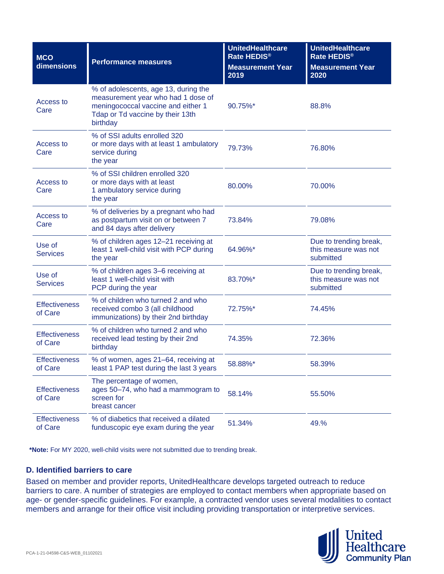| <b>MCO</b><br>dimensions        | <b>Performance measures</b>                                                                                                                                      | <b>UnitedHealthcare</b><br>Rate HEDIS <sup>®</sup><br><b>Measurement Year</b><br>2019 | <b>UnitedHealthcare</b><br>Rate HEDIS <sup>®</sup><br><b>Measurement Year</b><br>2020 |
|---------------------------------|------------------------------------------------------------------------------------------------------------------------------------------------------------------|---------------------------------------------------------------------------------------|---------------------------------------------------------------------------------------|
| Access to<br>Care               | % of adolescents, age 13, during the<br>measurement year who had 1 dose of<br>meningococcal vaccine and either 1<br>Tdap or Td vaccine by their 13th<br>birthday | 90.75%*                                                                               | 88.8%                                                                                 |
| Access to<br>Care               | % of SSI adults enrolled 320<br>or more days with at least 1 ambulatory<br>service during<br>the year                                                            | 79.73%                                                                                | 76.80%                                                                                |
| Access to<br>Care               | % of SSI children enrolled 320<br>or more days with at least<br>1 ambulatory service during<br>the year                                                          | 80.00%                                                                                | 70.00%                                                                                |
| Access to<br>Care               | % of deliveries by a pregnant who had<br>as postpartum visit on or between 7<br>and 84 days after delivery                                                       | 73.84%                                                                                | 79.08%                                                                                |
| Use of<br><b>Services</b>       | % of children ages 12-21 receiving at<br>least 1 well-child visit with PCP during<br>the year                                                                    | 64.96%*                                                                               | Due to trending break,<br>this measure was not<br>submitted                           |
| Use of<br><b>Services</b>       | % of children ages 3–6 receiving at<br>least 1 well-child visit with<br>PCP during the year                                                                      | 83.70%*                                                                               | Due to trending break,<br>this measure was not<br>submitted                           |
| <b>Effectiveness</b><br>of Care | % of children who turned 2 and who<br>received combo 3 (all childhood<br>immunizations) by their 2nd birthday                                                    | 72.75%*                                                                               | 74.45%                                                                                |
| <b>Effectiveness</b><br>of Care | % of children who turned 2 and who<br>received lead testing by their 2nd<br>birthday                                                                             | 74.35%                                                                                | 72.36%                                                                                |
| <b>Effectiveness</b><br>of Care | % of women, ages 21-64, receiving at<br>least 1 PAP test during the last 3 years                                                                                 | 58.88%*                                                                               | 58.39%                                                                                |
| <b>Effectiveness</b><br>of Care | The percentage of women,<br>ages 50-74, who had a mammogram to<br>screen for<br>breast cancer                                                                    | 58.14%                                                                                | 55.50%                                                                                |
| <b>Effectiveness</b><br>of Care | % of diabetics that received a dilated<br>funduscopic eye exam during the year                                                                                   | 51.34%                                                                                | 49.%                                                                                  |

**\*Note:** For MY 2020, well-child visits were not submitted due to trending break.

# **D. Identified barriers to care**

Based on member and provider reports, UnitedHealthcare develops targeted outreach to reduce barriers to care. A number of strategies are employed to contact members when appropriate based on age- or gender-specific guidelines. For example, a contracted vendor uses several modalities to contact members and arrange for their office visit including providing transportation or interpretive services.

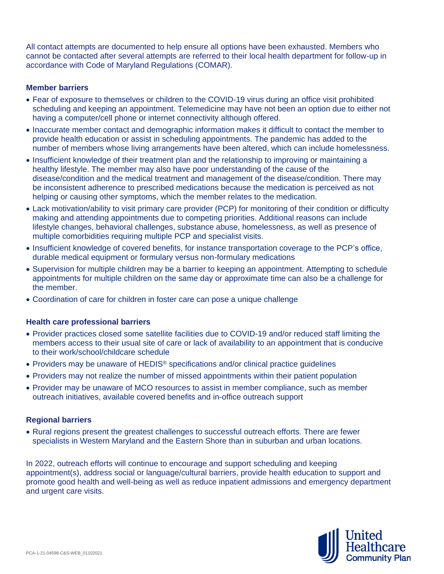All contact attempts are documented to help ensure all options have been exhausted. Members who cannot be contacted after several attempts are referred to their local health department for follow-up in accordance with Code of Maryland Regulations (COMAR).

# **Member barriers**

- Fear of exposure to themselves or children to the COVID-19 virus during an office visit prohibited scheduling and keeping an appointment. Telemedicine may have not been an option due to either not having a computer/cell phone or internet connectivity although offered.
- Inaccurate member contact and demographic information makes it difficult to contact the member to provide health education or assist in scheduling appointments. The pandemic has added to the number of members whose living arrangements have been altered, which can include homelessness.
- Insufficient knowledge of their treatment plan and the relationship to improving or maintaining a healthy lifestyle. The member may also have poor understanding of the cause of the disease/condition and the medical treatment and management of the disease/condition. There may be inconsistent adherence to prescribed medications because the medication is perceived as not helping or causing other symptoms, which the member relates to the medication.
- Lack motivation/ability to visit primary care provider (PCP) for monitoring of their condition or difficulty making and attending appointments due to competing priorities. Additional reasons can include lifestyle changes, behavioral challenges, substance abuse, homelessness, as well as presence of multiple comorbidities requiring multiple PCP and specialist visits.
- Insufficient knowledge of covered benefits, for instance transportation coverage to the PCP's office, durable medical equipment or formulary versus non-formulary medications
- Supervision for multiple children may be a barrier to keeping an appointment. Attempting to schedule appointments for multiple children on the same day or approximate time can also be a challenge for the member.
- Coordination of care for children in foster care can pose a unique challenge

# **Health care professional barriers**

- Provider practices closed some satellite facilities due to COVID-19 and/or reduced staff limiting the members access to their usual site of care or lack of availability to an appointment that is conducive to their work/school/childcare schedule
- Providers may be unaware of HEDIS<sup>®</sup> specifications and/or clinical practice guidelines
- Providers may not realize the number of missed appointments within their patient population
- Provider may be unaware of MCO resources to assist in member compliance, such as member outreach initiatives, available covered benefits and in-office outreach support

# **Regional barriers**

• Rural regions present the greatest challenges to successful outreach efforts. There are fewer specialists in Western Maryland and the Eastern Shore than in suburban and urban locations.

In 2022, outreach efforts will continue to encourage and support scheduling and keeping appointment(s), address social or language/cultural barriers, provide health education to support and promote good health and well-being as well as reduce inpatient admissions and emergency department and urgent care visits.

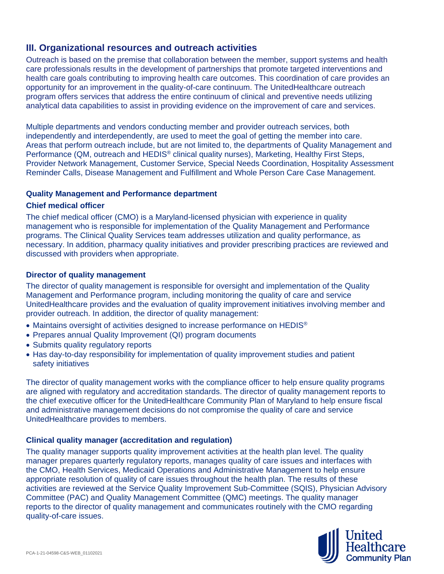# **III. Organizational resources and outreach activities**

Outreach is based on the premise that collaboration between the member, support systems and health care professionals results in the development of partnerships that promote targeted interventions and health care goals contributing to improving health care outcomes. This coordination of care provides an opportunity for an improvement in the quality-of-care continuum. The UnitedHealthcare outreach program offers services that address the entire continuum of clinical and preventive needs utilizing analytical data capabilities to assist in providing evidence on the improvement of care and services.

Multiple departments and vendors conducting member and provider outreach services, both independently and interdependently, are used to meet the goal of getting the member into care. Areas that perform outreach include, but are not limited to, the departments of Quality Management and Performance (QM, outreach and HEDIS<sup>®</sup> clinical quality nurses), Marketing, Healthy First Steps, Provider Network Management, Customer Service, Special Needs Coordination, Hospitality Assessment Reminder Calls, Disease Management and Fulfillment and Whole Person Care Case Management.

# **Quality Management and Performance department**

# **Chief medical officer**

The chief medical officer (CMO) is a Maryland-licensed physician with experience in quality management who is responsible for implementation of the Quality Management and Performance programs. The Clinical Quality Services team addresses utilization and quality performance, as necessary. In addition, pharmacy quality initiatives and provider prescribing practices are reviewed and discussed with providers when appropriate.

# **Director of quality management**

The director of quality management is responsible for oversight and implementation of the Quality Management and Performance program, including monitoring the quality of care and service UnitedHealthcare provides and the evaluation of quality improvement initiatives involving member and provider outreach. In addition, the director of quality management:

- Maintains oversight of activities designed to increase performance on HEDIS<sup>®</sup>
- Prepares annual Quality Improvement (QI) program documents
- Submits quality regulatory reports
- Has day-to-day responsibility for implementation of quality improvement studies and patient safety initiatives

The director of quality management works with the compliance officer to help ensure quality programs are aligned with regulatory and accreditation standards. The director of quality management reports to the chief executive officer for the UnitedHealthcare Community Plan of Maryland to help ensure fiscal and administrative management decisions do not compromise the quality of care and service UnitedHealthcare provides to members.

# **Clinical quality manager (accreditation and regulation)**

The quality manager supports quality improvement activities at the health plan level. The quality manager prepares quarterly regulatory reports, manages quality of care issues and interfaces with the CMO, Health Services, Medicaid Operations and Administrative Management to help ensure appropriate resolution of quality of care issues throughout the health plan. The results of these activities are reviewed at the Service Quality Improvement Sub-Committee (SQIS), Physician Advisory Committee (PAC) and Quality Management Committee (QMC) meetings. The quality manager reports to the director of quality management and communicates routinely with the CMO regarding quality-of-care issues.

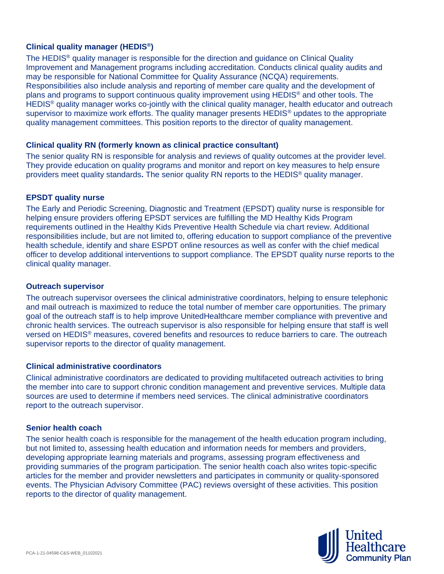# **Clinical quality manager (HEDIS® )**

The HEDIS® quality manager is responsible for the direction and guidance on Clinical Quality Improvement and Management programs including accreditation. Conducts clinical quality audits and may be responsible for National Committee for Quality Assurance (NCQA) requirements. Responsibilities also include analysis and reporting of member care quality and the development of plans and programs to support continuous quality improvement using HEDIS® and other tools. The HEDIS<sup>®</sup> quality manager works co-jointly with the clinical quality manager, health educator and outreach supervisor to maximize work efforts. The quality manager presents HEDIS<sup>®</sup> updates to the appropriate quality management committees. This position reports to the director of quality management.

# **Clinical quality RN (formerly known as clinical practice consultant)**

The senior quality RN is responsible for analysis and reviews of quality outcomes at the provider level. They provide education on quality programs and monitor and report on key measures to help ensure providers meet quality standards**.** The senior quality RN reports to the HEDIS® quality manager.

# **EPSDT quality nurse**

The Early and Periodic Screening, Diagnostic and Treatment (EPSDT) quality nurse is responsible for helping ensure providers offering EPSDT services are fulfilling the MD Healthy Kids Program requirements outlined in the Healthy Kids Preventive Health Schedule via chart review. Additional responsibilities include, but are not limited to, offering education to support compliance of the preventive health schedule, identify and share ESPDT online resources as well as confer with the chief medical officer to develop additional interventions to support compliance. The EPSDT quality nurse reports to the clinical quality manager.

# **Outreach supervisor**

The outreach supervisor oversees the clinical administrative coordinators, helping to ensure telephonic and mail outreach is maximized to reduce the total number of member care opportunities. The primary goal of the outreach staff is to help improve UnitedHealthcare member compliance with preventive and chronic health services. The outreach supervisor is also responsible for helping ensure that staff is well versed on HEDIS® measures, covered benefits and resources to reduce barriers to care. The outreach supervisor reports to the director of quality management.

# **Clinical administrative coordinators**

Clinical administrative coordinators are dedicated to providing multifaceted outreach activities to bring the member into care to support chronic condition management and preventive services. Multiple data sources are used to determine if members need services. The clinical administrative coordinators report to the outreach supervisor.

# **Senior health coach**

The senior health coach is responsible for the management of the health education program including, but not limited to, assessing health education and information needs for members and providers, developing appropriate learning materials and programs, assessing program effectiveness and providing summaries of the program participation. The senior health coach also writes topic-specific articles for the member and provider newsletters and participates in community or quality-sponsored events. The Physician Advisory Committee (PAC) reviews oversight of these activities. This position reports to the director of quality management.

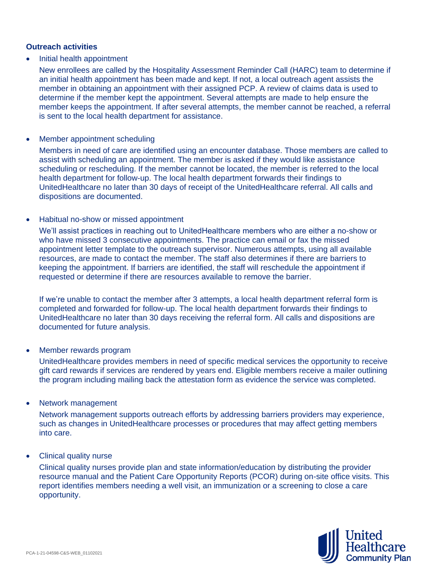# **Outreach activities**

• Initial health appointment

New enrollees are called by the Hospitality Assessment Reminder Call (HARC) team to determine if an initial health appointment has been made and kept. If not, a local outreach agent assists the member in obtaining an appointment with their assigned PCP. A review of claims data is used to determine if the member kept the appointment. Several attempts are made to help ensure the member keeps the appointment. If after several attempts, the member cannot be reached, a referral is sent to the local health department for assistance.

# • Member appointment scheduling

Members in need of care are identified using an encounter database. Those members are called to assist with scheduling an appointment. The member is asked if they would like assistance scheduling or rescheduling. If the member cannot be located, the member is referred to the local health department for follow-up. The local health department forwards their findings to UnitedHealthcare no later than 30 days of receipt of the UnitedHealthcare referral. All calls and dispositions are documented.

# • Habitual no-show or missed appointment

We'll assist practices in reaching out to UnitedHealthcare members who are either a no-show or who have missed 3 consecutive appointments. The practice can email or fax the missed appointment letter template to the outreach supervisor. Numerous attempts, using all available resources, are made to contact the member. The staff also determines if there are barriers to keeping the appointment. If barriers are identified, the staff will reschedule the appointment if requested or determine if there are resources available to remove the barrier.

If we're unable to contact the member after 3 attempts, a local health department referral form is completed and forwarded for follow-up. The local health department forwards their findings to UnitedHealthcare no later than 30 days receiving the referral form. All calls and dispositions are documented for future analysis.

# • Member rewards program

UnitedHealthcare provides members in need of specific medical services the opportunity to receive gift card rewards if services are rendered by years end. Eligible members receive a mailer outlining the program including mailing back the attestation form as evidence the service was completed.

# • Network management

Network management supports outreach efforts by addressing barriers providers may experience, such as changes in UnitedHealthcare processes or procedures that may affect getting members into care.

# • Clinical quality nurse

Clinical quality nurses provide plan and state information/education by distributing the provider resource manual and the Patient Care Opportunity Reports (PCOR) during on-site office visits. This report identifies members needing a well visit, an immunization or a screening to close a care opportunity.

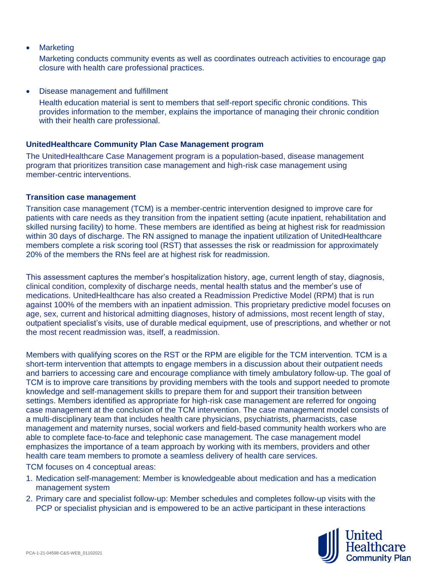• Marketing

Marketing conducts community events as well as coordinates outreach activities to encourage gap closure with health care professional practices.

• Disease management and fulfillment

Health education material is sent to members that self-report specific chronic conditions. This provides information to the member, explains the importance of managing their chronic condition with their health care professional.

# **UnitedHealthcare Community Plan Case Management program**

The UnitedHealthcare Case Management program is a population-based, disease management program that prioritizes transition case management and high-risk case management using member-centric interventions.

# **Transition case management**

Transition case management (TCM) is a member-centric intervention designed to improve care for patients with care needs as they transition from the inpatient setting (acute inpatient, rehabilitation and skilled nursing facility) to home. These members are identified as being at highest risk for readmission within 30 days of discharge. The RN assigned to manage the inpatient utilization of UnitedHealthcare members complete a risk scoring tool (RST) that assesses the risk or readmission for approximately 20% of the members the RNs feel are at highest risk for readmission.

This assessment captures the member's hospitalization history, age, current length of stay, diagnosis, clinical condition, complexity of discharge needs, mental health status and the member's use of medications. UnitedHealthcare has also created a Readmission Predictive Model (RPM) that is run against 100% of the members with an inpatient admission. This proprietary predictive model focuses on age, sex, current and historical admitting diagnoses, history of admissions, most recent length of stay, outpatient specialist's visits, use of durable medical equipment, use of prescriptions, and whether or not the most recent readmission was, itself, a readmission.

Members with qualifying scores on the RST or the RPM are eligible for the TCM intervention. TCM is a short-term intervention that attempts to engage members in a discussion about their outpatient needs and barriers to accessing care and encourage compliance with timely ambulatory follow-up. The goal of TCM is to improve care transitions by providing members with the tools and support needed to promote knowledge and self-management skills to prepare them for and support their transition between settings. Members identified as appropriate for high-risk case management are referred for ongoing case management at the conclusion of the TCM intervention. The case management model consists of a multi-disciplinary team that includes health care physicians, psychiatrists, pharmacists, case management and maternity nurses, social workers and field-based community health workers who are able to complete face-to-face and telephonic case management. The case management model emphasizes the importance of a team approach by working with its members, providers and other health care team members to promote a seamless delivery of health care services.

TCM focuses on 4 conceptual areas:

- 1. Medication self-management: Member is knowledgeable about medication and has a medication management system
- 2. Primary care and specialist follow-up: Member schedules and completes follow-up visits with the PCP or specialist physician and is empowered to be an active participant in these interactions

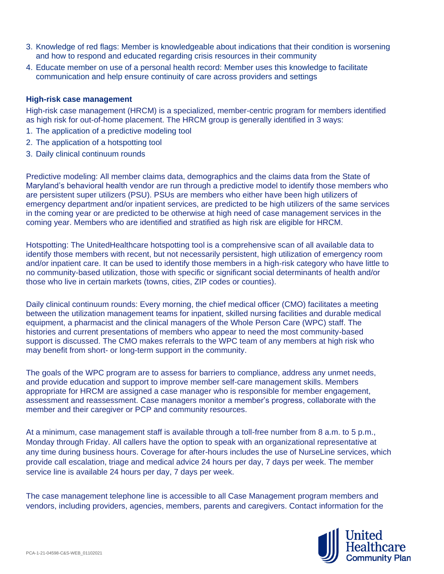- 3. Knowledge of red flags: Member is knowledgeable about indications that their condition is worsening and how to respond and educated regarding crisis resources in their community
- 4. Educate member on use of a personal health record: Member uses this knowledge to facilitate communication and help ensure continuity of care across providers and settings

#### **High-risk case management**

High-risk case management (HRCM) is a specialized, member-centric program for members identified as high risk for out-of-home placement. The HRCM group is generally identified in 3 ways:

- 1. The application of a predictive modeling tool
- 2. The application of a hotspotting tool
- 3. Daily clinical continuum rounds

Predictive modeling: All member claims data, demographics and the claims data from the State of Maryland's behavioral health vendor are run through a predictive model to identify those members who are persistent super utilizers (PSU). PSUs are members who either have been high utilizers of emergency department and/or inpatient services, are predicted to be high utilizers of the same services in the coming year or are predicted to be otherwise at high need of case management services in the coming year. Members who are identified and stratified as high risk are eligible for HRCM.

Hotspotting: The UnitedHealthcare hotspotting tool is a comprehensive scan of all available data to identify those members with recent, but not necessarily persistent, high utilization of emergency room and/or inpatient care. It can be used to identify those members in a high-risk category who have little to no community-based utilization, those with specific or significant social determinants of health and/or those who live in certain markets (towns, cities, ZIP codes or counties).

Daily clinical continuum rounds: Every morning, the chief medical officer (CMO) facilitates a meeting between the utilization management teams for inpatient, skilled nursing facilities and durable medical equipment, a pharmacist and the clinical managers of the Whole Person Care (WPC) staff. The histories and current presentations of members who appear to need the most community-based support is discussed. The CMO makes referrals to the WPC team of any members at high risk who may benefit from short- or long-term support in the community.

The goals of the WPC program are to assess for barriers to compliance, address any unmet needs, and provide education and support to improve member self-care management skills. Members appropriate for HRCM are assigned a case manager who is responsible for member engagement, assessment and reassessment. Case managers monitor a member's progress, collaborate with the member and their caregiver or PCP and community resources.

At a minimum, case management staff is available through a toll-free number from 8 a.m. to 5 p.m., Monday through Friday. All callers have the option to speak with an organizational representative at any time during business hours. Coverage for after-hours includes the use of NurseLine services, which provide call escalation, triage and medical advice 24 hours per day, 7 days per week. The member service line is available 24 hours per day, 7 days per week.

The case management telephone line is accessible to all Case Management program members and vendors, including providers, agencies, members, parents and caregivers. Contact information for the

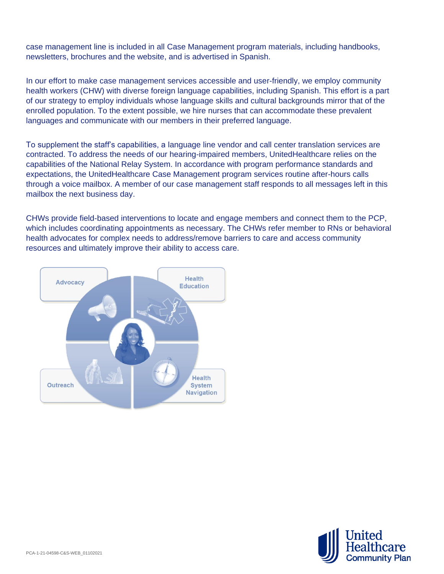case management line is included in all Case Management program materials, including handbooks, newsletters, brochures and the website, and is advertised in Spanish.

In our effort to make case management services accessible and user-friendly, we employ community health workers (CHW) with diverse foreign language capabilities, including Spanish. This effort is a part of our strategy to employ individuals whose language skills and cultural backgrounds mirror that of the enrolled population. To the extent possible, we hire nurses that can accommodate these prevalent languages and communicate with our members in their preferred language.

To supplement the staff's capabilities, a language line vendor and call center translation services are contracted. To address the needs of our hearing-impaired members, UnitedHealthcare relies on the capabilities of the National Relay System. In accordance with program performance standards and expectations, the UnitedHealthcare Case Management program services routine after-hours calls through a voice mailbox. A member of our case management staff responds to all messages left in this mailbox the next business day.

CHWs provide field-based interventions to locate and engage members and connect them to the PCP, which includes coordinating appointments as necessary. The CHWs refer member to RNs or behavioral health advocates for complex needs to address/remove barriers to care and access community resources and ultimately improve their ability to access care.



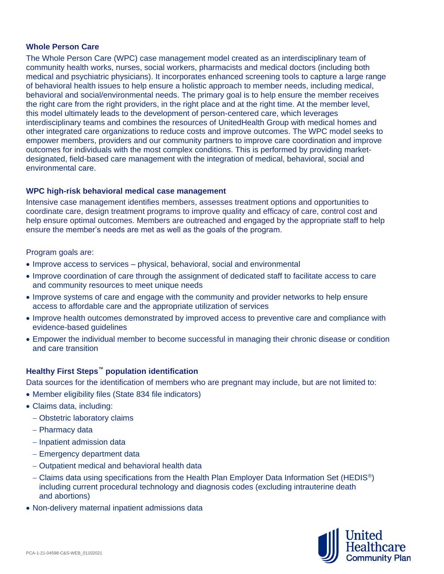# **Whole Person Care**

The Whole Person Care (WPC) case management model created as an interdisciplinary team of community health works, nurses, social workers, pharmacists and medical doctors (including both medical and psychiatric physicians). It incorporates enhanced screening tools to capture a large range of behavioral health issues to help ensure a holistic approach to member needs, including medical, behavioral and social/environmental needs. The primary goal is to help ensure the member receives the right care from the right providers, in the right place and at the right time. At the member level, this model ultimately leads to the development of person-centered care, which leverages interdisciplinary teams and combines the resources of UnitedHealth Group with medical homes and other integrated care organizations to reduce costs and improve outcomes. The WPC model seeks to empower members, providers and our community partners to improve care coordination and improve outcomes for individuals with the most complex conditions. This is performed by providing marketdesignated, field-based care management with the integration of medical, behavioral, social and environmental care.

# **WPC high-risk behavioral medical case management**

Intensive case management identifies members, assesses treatment options and opportunities to coordinate care, design treatment programs to improve quality and efficacy of care, control cost and help ensure optimal outcomes. Members are outreached and engaged by the appropriate staff to help ensure the member's needs are met as well as the goals of the program.

Program goals are:

- Improve access to services physical, behavioral, social and environmental
- Improve coordination of care through the assignment of dedicated staff to facilitate access to care and community resources to meet unique needs
- Improve systems of care and engage with the community and provider networks to help ensure access to affordable care and the appropriate utilization of services
- Improve health outcomes demonstrated by improved access to preventive care and compliance with evidence-based guidelines
- Empower the individual member to become successful in managing their chronic disease or condition and care transition

# **Healthy First Steps™ population identification**

Data sources for the identification of members who are pregnant may include, but are not limited to:

- Member eligibility files (State 834 file indicators)
- Claims data, including:
	- − Obstetric laboratory claims
	- − Pharmacy data
	- − Inpatient admission data
	- − Emergency department data
	- − Outpatient medical and behavioral health data
	- − Claims data using specifications from the Health Plan Employer Data Information Set (HEDIS®) including current procedural technology and diagnosis codes (excluding intrauterine death and abortions)
- Non-delivery maternal inpatient admissions data

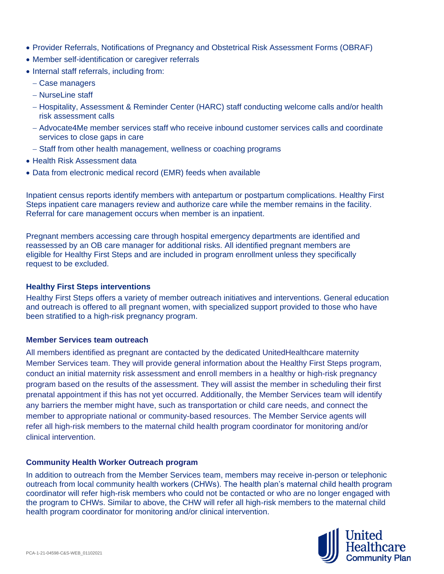- Provider Referrals, Notifications of Pregnancy and Obstetrical Risk Assessment Forms (OBRAF)
- Member self-identification or caregiver referrals
- Internal staff referrals, including from:
	- − Case managers
	- − NurseLine staff
	- − Hospitality, Assessment & Reminder Center (HARC) staff conducting welcome calls and/or health risk assessment calls
	- − Advocate4Me member services staff who receive inbound customer services calls and coordinate services to close gaps in care
	- − Staff from other health management, wellness or coaching programs
- Health Risk Assessment data
- Data from electronic medical record (EMR) feeds when available

Inpatient census reports identify members with antepartum or postpartum complications. Healthy First Steps inpatient care managers review and authorize care while the member remains in the facility. Referral for care management occurs when member is an inpatient.

Pregnant members accessing care through hospital emergency departments are identified and reassessed by an OB care manager for additional risks. All identified pregnant members are eligible for Healthy First Steps and are included in program enrollment unless they specifically request to be excluded.

# **Healthy First Steps interventions**

Healthy First Steps offers a variety of member outreach initiatives and interventions. General education and outreach is offered to all pregnant women, with specialized support provided to those who have been stratified to a high-risk pregnancy program.

# **Member Services team outreach**

All members identified as pregnant are contacted by the dedicated UnitedHealthcare maternity Member Services team. They will provide general information about the Healthy First Steps program, conduct an initial maternity risk assessment and enroll members in a healthy or high-risk pregnancy program based on the results of the assessment. They will assist the member in scheduling their first prenatal appointment if this has not yet occurred. Additionally, the Member Services team will identify any barriers the member might have, such as transportation or child care needs, and connect the member to appropriate national or community-based resources. The Member Service agents will refer all high-risk members to the maternal child health program coordinator for monitoring and/or clinical intervention.

# **Community Health Worker Outreach program**

In addition to outreach from the Member Services team, members may receive in-person or telephonic outreach from local community health workers (CHWs). The health plan's maternal child health program coordinator will refer high-risk members who could not be contacted or who are no longer engaged with the program to CHWs. Similar to above, the CHW will refer all high-risk members to the maternal child health program coordinator for monitoring and/or clinical intervention.

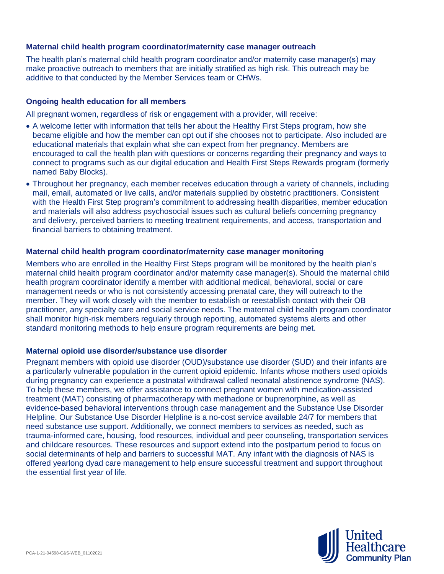# **Maternal child health program coordinator/maternity case manager outreach**

The health plan's maternal child health program coordinator and/or maternity case manager(s) may make proactive outreach to members that are initially stratified as high risk. This outreach may be additive to that conducted by the Member Services team or CHWs.

# **Ongoing health education for all members**

All pregnant women, regardless of risk or engagement with a provider, will receive:

- A welcome letter with information that tells her about the Healthy First Steps program, how she became eligible and how the member can opt out if she chooses not to participate. Also included are educational materials that explain what she can expect from her pregnancy. Members are encouraged to call the health plan with questions or concerns regarding their pregnancy and ways to connect to programs such as our digital education and Health First Steps Rewards program (formerly named Baby Blocks).
- Throughout her pregnancy, each member receives education through a variety of channels, including mail, email, automated or live calls, and/or materials supplied by obstetric practitioners. Consistent with the Health First Step program's commitment to addressing health disparities, member education and materials will also address psychosocial issues such as cultural beliefs concerning pregnancy and delivery, perceived barriers to meeting treatment requirements, and access, transportation and financial barriers to obtaining treatment.

#### **Maternal child health program coordinator/maternity case manager monitoring**

Members who are enrolled in the Healthy First Steps program will be monitored by the health plan's maternal child health program coordinator and/or maternity case manager(s). Should the maternal child health program coordinator identify a member with additional medical, behavioral, social or care management needs or who is not consistently accessing prenatal care, they will outreach to the member. They will work closely with the member to establish or reestablish contact with their OB practitioner, any specialty care and social service needs. The maternal child health program coordinator shall monitor high-risk members regularly through reporting, automated systems alerts and other standard monitoring methods to help ensure program requirements are being met.

# **Maternal opioid use disorder/substance use disorder**

Pregnant members with opioid use disorder (OUD)/substance use disorder (SUD) and their infants are a particularly vulnerable population in the current opioid epidemic. Infants whose mothers used opioids during pregnancy can experience a postnatal withdrawal called neonatal abstinence syndrome (NAS). To help these members, we offer assistance to connect pregnant women with medication-assisted treatment (MAT) consisting of pharmacotherapy with methadone or buprenorphine, as well as evidence-based behavioral interventions through case management and the Substance Use Disorder Helpline. Our Substance Use Disorder Helpline is a no-cost service available 24/7 for members that need substance use support. Additionally, we connect members to services as needed, such as trauma-informed care, housing, food resources, individual and peer counseling, transportation services and childcare resources. These resources and support extend into the postpartum period to focus on social determinants of help and barriers to successful MAT. Any infant with the diagnosis of NAS is offered yearlong dyad care management to help ensure successful treatment and support throughout the essential first year of life.

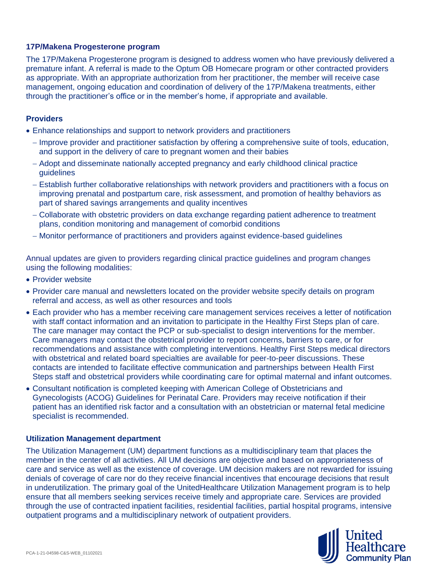# **17P/Makena Progesterone program**

The 17P/Makena Progesterone program is designed to address women who have previously delivered a premature infant. A referral is made to the Optum OB Homecare program or other contracted providers as appropriate. With an appropriate authorization from her practitioner, the member will receive case management, ongoing education and coordination of delivery of the 17P/Makena treatments, either through the practitioner's office or in the member's home, if appropriate and available.

# **Providers**

- Enhance relationships and support to network providers and practitioners
	- − Improve provider and practitioner satisfaction by offering a comprehensive suite of tools, education, and support in the delivery of care to pregnant women and their babies
	- − Adopt and disseminate nationally accepted pregnancy and early childhood clinical practice **guidelines**
	- − Establish further collaborative relationships with network providers and practitioners with a focus on improving prenatal and postpartum care, risk assessment, and promotion of healthy behaviors as part of shared savings arrangements and quality incentives
	- − Collaborate with obstetric providers on data exchange regarding patient adherence to treatment plans, condition monitoring and management of comorbid conditions
	- − Monitor performance of practitioners and providers against evidence-based guidelines

Annual updates are given to providers regarding clinical practice guidelines and program changes using the following modalities:

- Provider website
- Provider care manual and newsletters located on the provider website specify details on program referral and access, as well as other resources and tools
- Each provider who has a member receiving care management services receives a letter of notification with staff contact information and an invitation to participate in the Healthy First Steps plan of care. The care manager may contact the PCP or sub-specialist to design interventions for the member. Care managers may contact the obstetrical provider to report concerns, barriers to care, or for recommendations and assistance with completing interventions. Healthy First Steps medical directors with obstetrical and related board specialties are available for peer-to-peer discussions. These contacts are intended to facilitate effective communication and partnerships between Health First Steps staff and obstetrical providers while coordinating care for optimal maternal and infant outcomes.
- Consultant notification is completed keeping with American College of Obstetricians and Gynecologists (ACOG) Guidelines for Perinatal Care. Providers may receive notification if their patient has an identified risk factor and a consultation with an obstetrician or maternal fetal medicine specialist is recommended.

# **Utilization Management department**

The Utilization Management (UM) department functions as a multidisciplinary team that places the member in the center of all activities. All UM decisions are objective and based on appropriateness of care and service as well as the existence of coverage. UM decision makers are not rewarded for issuing denials of coverage of care nor do they receive financial incentives that encourage decisions that result in underutilization. The primary goal of the UnitedHealthcare Utilization Management program is to help ensure that all members seeking services receive timely and appropriate care. Services are provided through the use of contracted inpatient facilities, residential facilities, partial hospital programs, intensive outpatient programs and a multidisciplinary network of outpatient providers.

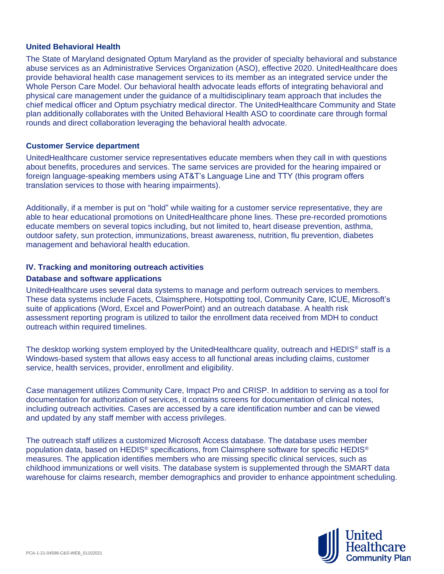# **United Behavioral Health**

The State of Maryland designated Optum Maryland as the provider of specialty behavioral and substance abuse services as an Administrative Services Organization (ASO), effective 2020. UnitedHealthcare does provide behavioral health case management services to its member as an integrated service under the Whole Person Care Model. Our behavioral health advocate leads efforts of integrating behavioral and physical care management under the guidance of a multidisciplinary team approach that includes the chief medical officer and Optum psychiatry medical director. The UnitedHealthcare Community and State plan additionally collaborates with the United Behavioral Health ASO to coordinate care through formal rounds and direct collaboration leveraging the behavioral health advocate.

#### **Customer Service department**

UnitedHealthcare customer service representatives educate members when they call in with questions about benefits, procedures and services. The same services are provided for the hearing impaired or foreign language-speaking members using AT&T's Language Line and TTY (this program offers translation services to those with hearing impairments).

Additionally, if a member is put on "hold" while waiting for a customer service representative, they are able to hear educational promotions on UnitedHealthcare phone lines. These pre-recorded promotions educate members on several topics including, but not limited to, heart disease prevention, asthma, outdoor safety, sun protection, immunizations, breast awareness, nutrition, flu prevention, diabetes management and behavioral health education.

# **IV. Tracking and monitoring outreach activities**

#### **Database and software applications**

UnitedHealthcare uses several data systems to manage and perform outreach services to members. These data systems include Facets, Claimsphere, Hotspotting tool, Community Care, ICUE, Microsoft's suite of applications (Word, Excel and PowerPoint) and an outreach database. A health risk assessment reporting program is utilized to tailor the enrollment data received from MDH to conduct outreach within required timelines.

The desktop working system employed by the UnitedHealthcare quality, outreach and HEDIS<sup>®</sup> staff is a Windows-based system that allows easy access to all functional areas including claims, customer service, health services, provider, enrollment and eligibility.

Case management utilizes Community Care, Impact Pro and CRISP. In addition to serving as a tool for documentation for authorization of services, it contains screens for documentation of clinical notes, including outreach activities. Cases are accessed by a care identification number and can be viewed and updated by any staff member with access privileges.

The outreach staff utilizes a customized Microsoft Access database. The database uses member population data, based on HEDIS® specifications, from Claimsphere software for specific HEDIS® measures. The application identifies members who are missing specific clinical services, such as childhood immunizations or well visits. The database system is supplemented through the SMART data warehouse for claims research, member demographics and provider to enhance appointment scheduling.

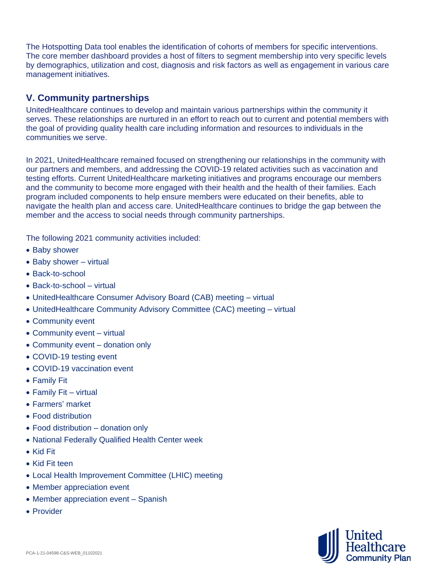The Hotspotting Data tool enables the identification of cohorts of members for specific interventions. The core member dashboard provides a host of filters to segment membership into very specific levels by demographics, utilization and cost, diagnosis and risk factors as well as engagement in various care management initiatives.

# **V. Community partnerships**

UnitedHealthcare continues to develop and maintain various partnerships within the community it serves. These relationships are nurtured in an effort to reach out to current and potential members with the goal of providing quality health care including information and resources to individuals in the communities we serve.

In 2021, UnitedHealthcare remained focused on strengthening our relationships in the community with our partners and members, and addressing the COVID-19 related activities such as vaccination and testing efforts. Current UnitedHealthcare marketing initiatives and programs encourage our members and the community to become more engaged with their health and the health of their families. Each program included components to help ensure members were educated on their benefits, able to navigate the health plan and access care. UnitedHealthcare continues to bridge the gap between the member and the access to social needs through community partnerships.

The following 2021 community activities included:

- Baby shower
- Baby shower virtual
- Back-to-school
- Back-to-school virtual
- UnitedHealthcare Consumer Advisory Board (CAB) meeting virtual
- UnitedHealthcare Community Advisory Committee (CAC) meeting virtual
- Community event
- Community event virtual
- Community event donation only
- COVID-19 testing event
- COVID-19 vaccination event
- Family Fit
- Family Fit virtual
- Farmers' market
- Food distribution
- Food distribution donation only
- National Federally Qualified Health Center week
- Kid Fit
- Kid Fit teen
- Local Health Improvement Committee (LHIC) meeting
- Member appreciation event
- Member appreciation event Spanish
- Provider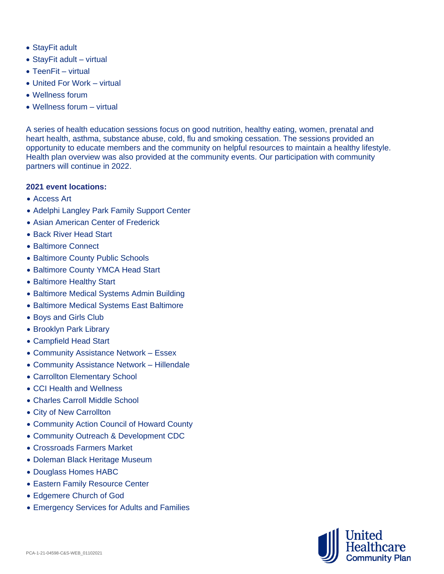- StayFit adult
- StayFit adult virtual
- TeenFit virtual
- United For Work virtual
- Wellness forum
- Wellness forum virtual

A series of health education sessions focus on good nutrition, healthy eating, women, prenatal and heart health, asthma, substance abuse, cold, flu and smoking cessation. The sessions provided an opportunity to educate members and the community on helpful resources to maintain a healthy lifestyle. Health plan overview was also provided at the community events. Our participation with community partners will continue in 2022.

# **2021 event locations:**

- Access Art
- Adelphi Langley Park Family Support Center
- Asian American Center of Frederick
- Back River Head Start
- Baltimore Connect
- Baltimore County Public Schools
- Baltimore County YMCA Head Start
- Baltimore Healthy Start
- Baltimore Medical Systems Admin Building
- Baltimore Medical Systems East Baltimore
- Boys and Girls Club
- Brooklyn Park Library
- Campfield Head Start
- Community Assistance Network Essex
- Community Assistance Network Hillendale
- Carrollton Elementary School
- CCI Health and Wellness
- Charles Carroll Middle School
- City of New Carrollton
- Community Action Council of Howard County
- Community Outreach & Development CDC
- Crossroads Farmers Market
- Doleman Black Heritage Museum
- Douglass Homes HABC
- Eastern Family Resource Center
- Edgemere Church of God
- Emergency Services for Adults and Families

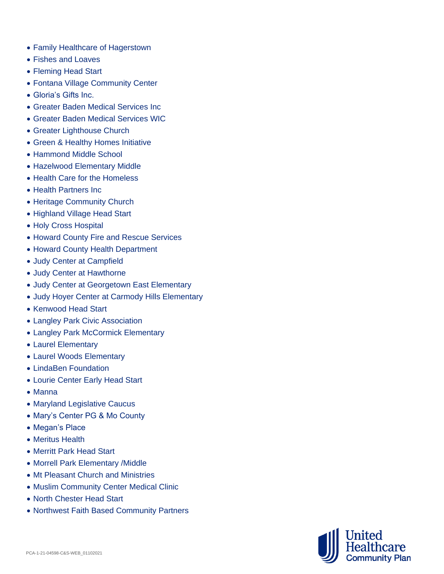- Family Healthcare of Hagerstown
- Fishes and Loaves
- Fleming Head Start
- Fontana Village Community Center
- Gloria's Gifts Inc.
- Greater Baden Medical Services Inc
- Greater Baden Medical Services WIC
- Greater Lighthouse Church
- Green & Healthy Homes Initiative
- Hammond Middle School
- Hazelwood Elementary Middle
- Health Care for the Homeless
- Health Partners Inc
- Heritage Community Church
- Highland Village Head Start
- Holy Cross Hospital
- Howard County Fire and Rescue Services
- Howard County Health Department
- Judy Center at Campfield
- Judy Center at Hawthorne
- Judy Center at Georgetown East Elementary
- Judy Hoyer Center at Carmody Hills Elementary
- Kenwood Head Start
- Langley Park Civic Association
- Langley Park McCormick Elementary
- Laurel Elementary
- Laurel Woods Elementary
- LindaBen Foundation
- Lourie Center Early Head Start
- Manna
- Maryland Legislative Caucus
- Mary's Center PG & Mo County
- Megan's Place
- Meritus Health
- Merritt Park Head Start
- Morrell Park Elementary /Middle
- Mt Pleasant Church and Ministries
- Muslim Community Center Medical Clinic
- North Chester Head Start
- Northwest Faith Based Community Partners

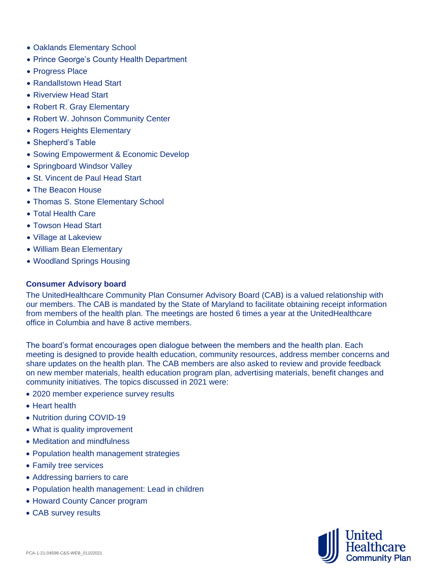- Oaklands Elementary School
- Prince George's County Health Department
- Progress Place
- Randallstown Head Start
- Riverview Head Start
- Robert R. Gray Elementary
- Robert W. Johnson Community Center
- Rogers Heights Elementary
- Shepherd's Table
- Sowing Empowerment & Economic Develop
- Springboard Windsor Valley
- St. Vincent de Paul Head Start
- The Beacon House
- Thomas S. Stone Elementary School
- Total Health Care
- Towson Head Start
- Village at Lakeview
- William Bean Elementary
- Woodland Springs Housing

# **Consumer Advisory board**

The UnitedHealthcare Community Plan Consumer Advisory Board (CAB) is a valued relationship with our members. The CAB is mandated by the State of Maryland to facilitate obtaining receipt information from members of the health plan. The meetings are hosted 6 times a year at the UnitedHealthcare office in Columbia and have 8 active members.

The board's format encourages open dialogue between the members and the health plan. Each meeting is designed to provide health education, community resources, address member concerns and share updates on the health plan. The CAB members are also asked to review and provide feedback on new member materials, health education program plan, advertising materials, benefit changes and community initiatives. The topics discussed in 2021 were:

- 2020 member experience survey results
- Heart health
- Nutrition during COVID-19
- What is quality improvement
- Meditation and mindfulness
- Population health management strategies
- Family tree services
- Addressing barriers to care
- Population health management: Lead in children
- Howard County Cancer program
- CAB survey results

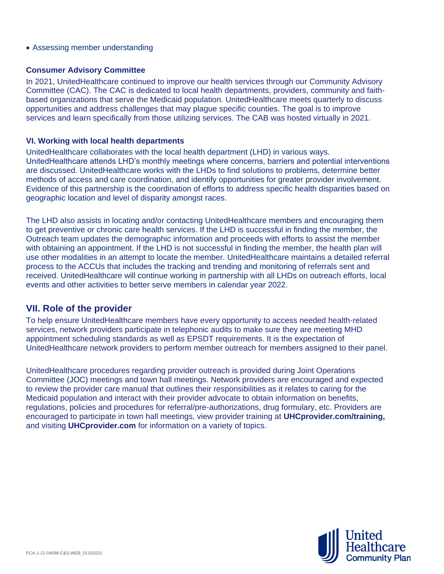# • Assessing member understanding

# **Consumer Advisory Committee**

In 2021, UnitedHealthcare continued to improve our health services through our Community Advisory Committee (CAC). The CAC is dedicated to local health departments, providers, community and faithbased organizations that serve the Medicaid population. UnitedHealthcare meets quarterly to discuss opportunities and address challenges that may plague specific counties. The goal is to improve services and learn specifically from those utilizing services. The CAB was hosted virtually in 2021.

# **VI. Working with local health departments**

UnitedHealthcare collaborates with the local health department (LHD) in various ways. UnitedHealthcare attends LHD's monthly meetings where concerns, barriers and potential interventions are discussed. UnitedHealthcare works with the LHDs to find solutions to problems, determine better methods of access and care coordination, and identify opportunities for greater provider involvement. Evidence of this partnership is the coordination of efforts to address specific health disparities based on geographic location and level of disparity amongst races.

The LHD also assists in locating and/or contacting UnitedHealthcare members and encouraging them to get preventive or chronic care health services. If the LHD is successful in finding the member, the Outreach team updates the demographic information and proceeds with efforts to assist the member with obtaining an appointment. If the LHD is not successful in finding the member, the health plan will use other modalities in an attempt to locate the member. UnitedHealthcare maintains a detailed referral process to the ACCUs that includes the tracking and trending and monitoring of referrals sent and received. UnitedHealthcare will continue working in partnership with all LHDs on outreach efforts, local events and other activities to better serve members in calendar year 2022.

# **VII. Role of the provider**

To help ensure UnitedHealthcare members have every opportunity to access needed health-related services, network providers participate in telephonic audits to make sure they are meeting MHD appointment scheduling standards as well as EPSDT requirements. It is the expectation of UnitedHealthcare network providers to perform member outreach for members assigned to their panel.

UnitedHealthcare procedures regarding provider outreach is provided during Joint Operations Committee (JOC) meetings and town hall meetings. Network providers are encouraged and expected to review the provider care manual that outlines their responsibilities as it relates to caring for the Medicaid population and interact with their provider advocate to obtain information on benefits, regulations, policies and procedures for referral/pre-authorizations, drug formulary, etc. Providers are encouraged to participate in town hall meetings, view provider training at **UHCprovider.com/training,** and visiting **UHCprovider.com** for information on a variety of topics.

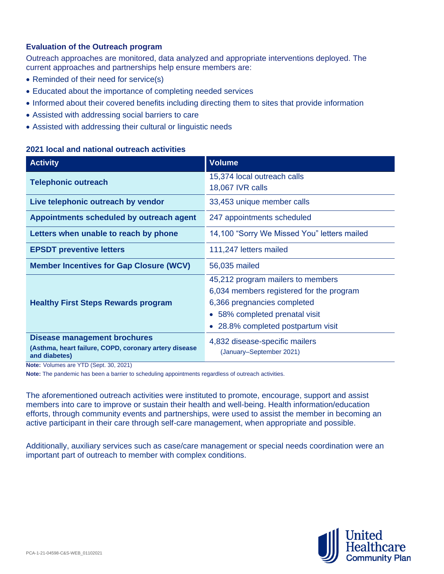# **Evaluation of the Outreach program**

Outreach approaches are monitored, data analyzed and appropriate interventions deployed. The current approaches and partnerships help ensure members are:

- Reminded of their need for service(s)
- Educated about the importance of completing needed services
- Informed about their covered benefits including directing them to sites that provide information
- Assisted with addressing social barriers to care
- Assisted with addressing their cultural or linguistic needs

# **2021 local and national outreach activities**

| <b>Activity</b>                                                        | <b>Volume</b>                                              |  |
|------------------------------------------------------------------------|------------------------------------------------------------|--|
| <b>Telephonic outreach</b>                                             | 15,374 local outreach calls                                |  |
|                                                                        | 18,067 IVR calls                                           |  |
| Live telephonic outreach by vendor                                     | 33,453 unique member calls                                 |  |
| Appointments scheduled by outreach agent                               | 247 appointments scheduled                                 |  |
| Letters when unable to reach by phone                                  | 14,100 "Sorry We Missed You" letters mailed                |  |
| <b>EPSDT</b> preventive letters                                        | 111,247 letters mailed                                     |  |
| <b>Member Incentives for Gap Closure (WCV)</b>                         | 56,035 mailed                                              |  |
|                                                                        | 45,212 program mailers to members                          |  |
|                                                                        | 6,034 members registered for the program                   |  |
| <b>Healthy First Steps Rewards program</b>                             | 6,366 pregnancies completed                                |  |
|                                                                        | 58% completed prenatal visit                               |  |
|                                                                        | 28.8% completed postpartum visit                           |  |
| <b>Disease management brochures</b>                                    | 4,832 disease-specific mailers<br>(January-September 2021) |  |
| (Asthma, heart failure, COPD, coronary artery disease<br>and diabetes) |                                                            |  |

**Note:** Volumes are YTD (Sept. 30, 2021)

**Note:** The pandemic has been a barrier to scheduling appointments regardless of outreach activities.

The aforementioned outreach activities were instituted to promote, encourage, support and assist members into care to improve or sustain their health and well-being. Health information/education efforts, through community events and partnerships, were used to assist the member in becoming an active participant in their care through self-care management, when appropriate and possible.

Additionally, auxiliary services such as case/care management or special needs coordination were an important part of outreach to member with complex conditions.